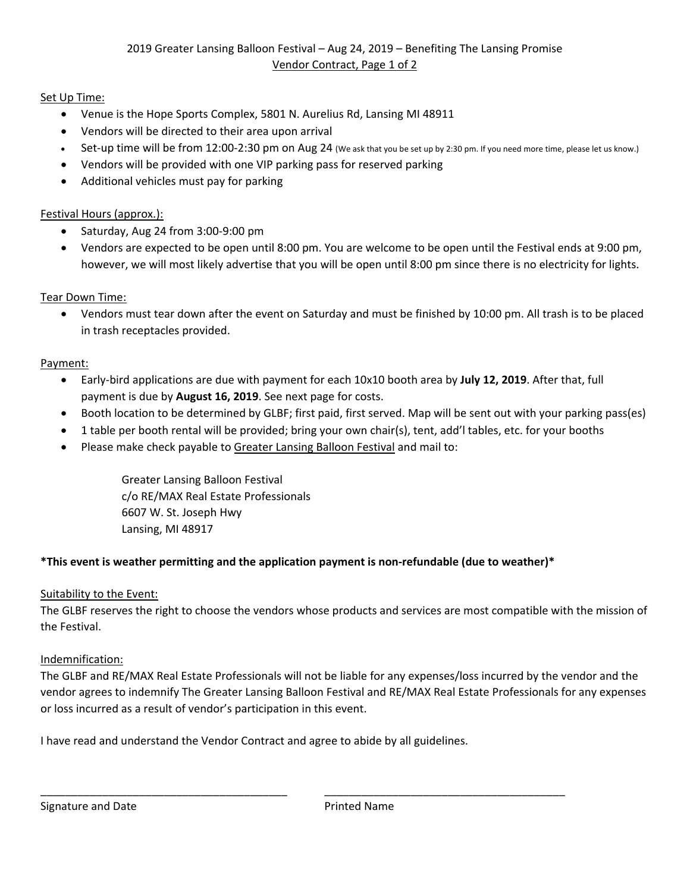# Set Up Time:

- Venue is the Hope Sports Complex, 5801 N. Aurelius Rd, Lansing MI 48911
- Vendors will be directed to their area upon arrival
- Set-up time will be from 12:00-2:30 pm on Aug 24 (We ask that you be set up by 2:30 pm. If you need more time, please let us know.)
- Vendors will be provided with one VIP parking pass for reserved parking
- Additional vehicles must pay for parking

### Festival Hours (approx.):

- Saturday, Aug 24 from 3:00‐9:00 pm
- Vendors are expected to be open until 8:00 pm. You are welcome to be open until the Festival ends at 9:00 pm, however, we will most likely advertise that you will be open until 8:00 pm since there is no electricity for lights.

#### Tear Down Time:

 Vendors must tear down after the event on Saturday and must be finished by 10:00 pm. All trash is to be placed in trash receptacles provided.

#### Payment:

- Early‐bird applications are due with payment for each 10x10 booth area by **July 12, 2019**. After that, full payment is due by **August 16, 2019**. See next page for costs.
- Booth location to be determined by GLBF; first paid, first served. Map will be sent out with your parking pass(es)
- 1 table per booth rental will be provided; bring your own chair(s), tent, add'l tables, etc. for your booths
- Please make check payable to Greater Lansing Balloon Festival and mail to:

Greater Lansing Balloon Festival c/o RE/MAX Real Estate Professionals 6607 W. St. Joseph Hwy Lansing, MI 48917

## **\*This event is weather permitting and the application payment is non‐refundable (due to weather)\***

\_\_\_\_\_\_\_\_\_\_\_\_\_\_\_\_\_\_\_\_\_\_\_\_\_\_\_\_\_\_\_\_\_\_\_\_\_\_\_\_ \_\_\_\_\_\_\_\_\_\_\_\_\_\_\_\_\_\_\_\_\_\_\_\_\_\_\_\_\_\_\_\_\_\_\_\_\_\_\_

## Suitability to the Event:

The GLBF reserves the right to choose the vendors whose products and services are most compatible with the mission of the Festival.

#### Indemnification:

The GLBF and RE/MAX Real Estate Professionals will not be liable for any expenses/loss incurred by the vendor and the vendor agrees to indemnify The Greater Lansing Balloon Festival and RE/MAX Real Estate Professionals for any expenses or loss incurred as a result of vendor's participation in this event.

I have read and understand the Vendor Contract and agree to abide by all guidelines.